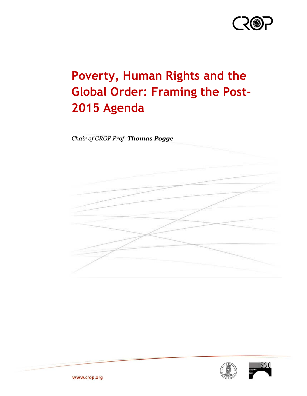

# Poverty, Human Rights and the Global Order: Framing the Post-2015 Agenda

Chair of CROP Prof. Thomas Pogge





www.crop.org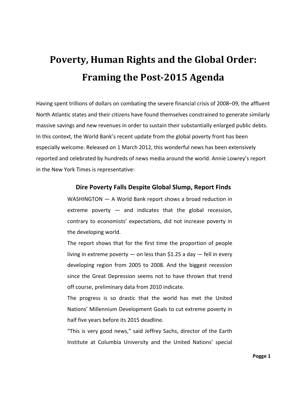## **Poverty, Human Rights and the Global Order: Framing the Post-2015 Agenda**

Having spent trillions of dollars on combating the severe financial crisis of 2008–09, the affluent North Atlantic states and their citizens have found themselves constrained to generate similarly massive savings and new revenues in order to sustain their substantially enlarged public debts. In this context, the World Bank's recent update from the global poverty front has been especially welcome. Released on 1 March 2012, this wonderful news has been extensively reported and celebrated by hundreds of news media around the world. Annie Lowrey's report in the New York Times is representative:

#### **Dire Poverty Falls Despite Global Slump, Report Finds**

WASHINGTON — A World Bank report shows a broad reduction in extreme poverty  $-$  and indicates that the global recession, contrary to economists' expectations, did not increase poverty in the developing world.

The report shows that for the first time the proportion of people living in extreme poverty  $-$  on less than \$1.25 a day  $-$  fell in every developing region from 2005 to 2008. And the biggest recession since the Great Depression seems not to have thrown that trend off course, preliminary data from 2010 indicate.

The progress is so drastic that the world has met the United Nations' Millennium Development Goals to cut extreme poverty in half five years before its 2015 deadline.

"This is very good news," said Jeffrey Sachs, director of the Earth Institute at Columbia University and the United Nations' special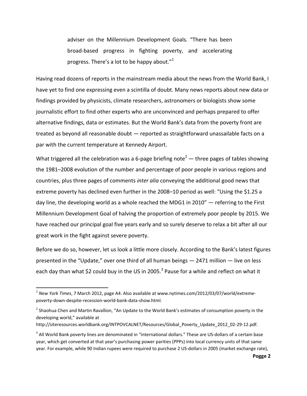adviser on the Millennium Development Goals. "There has been broad-based progress in fighting poverty, and accelerating progress. There's a lot to be happy about." $1$ 

Having read dozens of reports in the mainstream media about the news from the World Bank, I have yet to find one expressing even a scintilla of doubt. Many news reports about new data or findings provided by physicists, climate researchers, astronomers or biologists show some journalistic effort to find other experts who are unconvinced and perhaps prepared to offer alternative findings, data or estimates. But the World Bank's data from the poverty front are treated as beyond all reasonable doubt — reported as straightforward unassailable facts on a par with the current temperature at Kennedy Airport.

What triggered all the celebration was a 6-page briefing note<sup>2</sup> — three pages of tables showing the 1981–2008 evolution of the number and percentage of poor people in various regions and countries, plus three pages of comments *inter alia* conveying the additional good news that extreme poverty has declined even further in the 2008–10 period as well: "Using the \$1.25 a day line, the developing world as a whole reached the MDG1 in 2010" — referring to the First Millennium Development Goal of halving the proportion of extremely poor people by 2015. We have reached our principal goal five years early and so surely deserve to relax a bit after all our great work in the fight against severe poverty.

Before we do so, however, let us look a little more closely. According to the Bank's latest figures presented in the "Update," over one third of all human beings — 2471 million — live on less each day than what \$2 could buy in the US in 2005.<sup>3</sup> Pause for a while and reflect on what it

l

<sup>1</sup> *New York Times*, 7 March 2012, page A4. Also available at www.nytimes.com/2012/03/07/world/extremepoverty-down-despite-recession-world-bank-data-show.html.

<sup>&</sup>lt;sup>2</sup> Shaohua Chen and Martin Ravallion, "An Update to the World Bank's estimates of consumption poverty in the developing world," available at

http://siteresources.worldbank.org/INTPOVCALNET/Resources/Global\_Poverty\_Update\_2012\_02-29-12.pdf.

 $3$  All World Bank poverty lines are denominated in "international dollars." These are US-dollars of a certain base year, which get converted at that year's purchasing power parities (PPPs) into local currency units of that same year. For example, while 90 Indian rupees were required to purchase 2 US-dollars in 2005 (market exchange rate),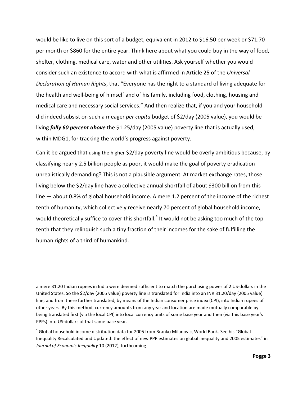would be like to live on this sort of a budget, equivalent in 2012 to \$16.50 per week or \$71.70 per month or \$860 for the entire year. Think here about what you could buy in the way of food, shelter, clothing, medical care, water and other utilities. Ask yourself whether you would consider such an existence to accord with what is affirmed in Article 25 of the *Universal Declaration of Human Rights*, that "Everyone has the right to a standard of living adequate for the health and well-being of himself and of his family, including food, clothing, housing and medical care and necessary social services." And then realize that, if you and your household did indeed subsist on such a meager *per capita* budget of \$2/day (2005 value), you would be living *fully 60 percent above* the \$1.25/day (2005 value) poverty line that is actually used, within MDG1, for tracking the world's progress against poverty.

Can it be argued that using the higher \$2/day poverty line would be overly ambitious because, by classifying nearly 2.5 billion people as poor, it would make the goal of poverty eradication unrealistically demanding? This is not a plausible argument. At market exchange rates, those living below the \$2/day line have a collective annual shortfall of about \$300 billion from this line — about 0.8% of global household income. A mere 1.2 percent of the income of the richest tenth of humanity, which collectively receive nearly 70 percent of global household income, would theoretically suffice to cover this shortfall.<sup>4</sup> It would not be asking too much of the top tenth that they relinquish such a tiny fraction of their incomes for the sake of fulfilling the human rights of a third of humankind.

a mere 31.20 Indian rupees in India were deemed sufficient to match the purchasing power of 2 US-dollars in the United States. So the \$2/day (2005 value) poverty line is translated for India into an INR 31.20/day (2005 value) line, and from there further translated, by means of the Indian consumer price index (CPI), into Indian rupees of other years. By this method, currency amounts from any year and location are made mutually comparable by being translated first (via the local CPI) into local currency units of some base year and then (via this base year's PPPs) into US-dollars of that same base year.

 $\overline{\phantom{a}}$ 

4 Global household income distribution data for 2005 from Branko Milanovic, World Bank. See his "Global Inequality Recalculated and Updated: the effect of new PPP estimates on global inequality and 2005 estimates" in *Journal of Economic Inequality* 10 (2012), forthcoming.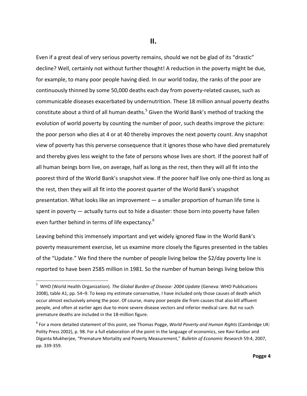**II.**

Even if a great deal of very serious poverty remains, should we not be glad of its "drastic" decline? Well, certainly not without further thought! A reduction in the poverty might be due, for example, to many poor people having died. In our world today, the ranks of the poor are continuously thinned by some 50,000 deaths each day from poverty-related causes, such as communicable diseases exacerbated by undernutrition. These 18 million annual poverty deaths constitute about a third of all human deaths.<sup>5</sup> Given the World Bank's method of tracking the evolution of world poverty by counting the number of poor, such deaths improve the picture: the poor person who dies at 4 or at 40 thereby improves the next poverty count. Any snapshot view of poverty has this perverse consequence that it ignores those who have died prematurely and thereby gives less weight to the fate of persons whose lives are short. If the poorest half of all human beings born live, on average, half as long as the rest, then they will all fit into the poorest third of the World Bank's snapshot view. If the poorer half live only one-third as long as the rest, then they will all fit into the poorest quarter of the World Bank's snapshot presentation. What looks like an improvement — a smaller proportion of human life time is spent in poverty — actually turns out to hide a disaster: those born into poverty have fallen even further behind in terms of life expectancy.<sup>6</sup>

Leaving behind this immensely important and yet widely ignored flaw in the World Bank's poverty measurement exercise, let us examine more closely the figures presented in the tables of the "Update." We find there the number of people living below the \$2/day poverty line is reported to have been 2585 million in 1981. So the number of human beings living below this

<sup>5</sup> WHO (World Health Organization). *The Global Burden of Disease: 2004 Update* (Geneva: WHO Publications 2008), table A1, pp. 54–9. To keep my estimate conservative, I have included only those causes of death which occur almost exclusively among the poor. Of course, many poor people die from causes that also kill affluent people, and often at earlier ages due to more severe disease vectors and inferior medical care. But no such premature deaths are included in the 18-million figure.

<sup>6</sup> For a more detailed statement of this point, see Thomas Pogge, *World Poverty and Human Rights* (Cambridge UK: Polity Press 2002), p. 98. For a full elaboration of the point in the language of economics, see Ravi Kanbur and Diganta Mukherjee, "Premature Mortality and Poverty Measurement," *Bulletin of Economic Research* 59:4, 2007, pp. 339-359.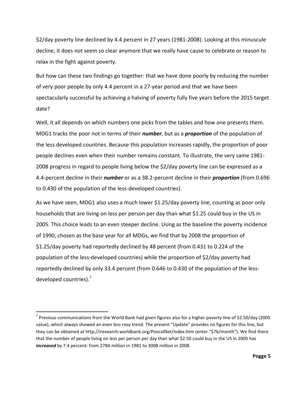\$2/day poverty line declined by 4.4 percent in 27 years (1981-2008). Looking at this minuscule decline, it does not seem so clear anymore that we really have cause to celebrate or reason to relax in the fight against poverty.

But how can these two findings go together: that we have done poorly by reducing the number of very poor people by only 4.4 percent in a 27-year period and that we have been spectacularly successful by achieving a halving of poverty fully five years before the 2015 target date?

Well, it all depends on which numbers one picks from the tables and how one presents them. MDG1 tracks the poor not in terms of their *number*, but as a *proportion* of the population of the less developed countries. Because this population increases rapidly, the proportion of poor people declines even when their number remains constant. To illustrate, the very same 1981- 2008 progress in regard to people living below the \$2/day poverty line can be expressed as a 4.4-percent decline in their *number* or as a 38.2-percent decline in their *proportion* (from 0.696 to 0.430 of the population of the less-developed countries).

As we have seen, MDG1 also uses a much lower \$1.25/day poverty line, counting as poor only households that are living on less per person per day than what \$1.25 could buy in the US in 2005. This choice leads to an even steeper decline. Using as the baseline the poverty incidence of 1990, chosen as the base year for all MDGs, we find that by 2008 the proportion of \$1.25/day poverty had reportedly declined by 48 percent (from 0.431 to 0.224 of the population of the less-developed countries) while the proportion of \$2/day poverty had reportedly declined by only 33.4 percent (from 0.646 to 0.430 of the population of the lessdeveloped countries).<sup>7</sup>

<sup>&</sup>lt;sup>7</sup> Previous communications from the World Bank had given figures also for a higher poverty line of \$2.50/day (2005 value), which always showed an even less rosy trend. The present "Update" provides no figures for this line, but they can be obtained at http://iresearch.worldbank.org/PovcalNet/index.htm (enter "\$76/month"). We find there that the number of people living on less per person per day than what \$2.50 could buy in the US in 2005 has *increased* by 7.4 percent: from 2784 million in 1981 to 3008 million in 2008.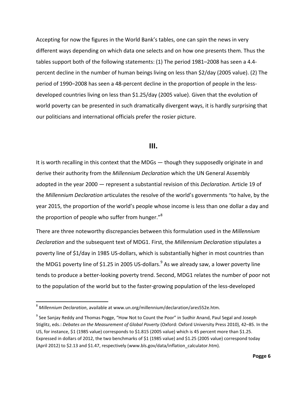Accepting for now the figures in the World Bank's tables, one can spin the news in very different ways depending on which data one selects and on how one presents them. Thus the tables support both of the following statements: (1) The period 1981–2008 has seen a 4.4 percent decline in the number of human beings living on less than \$2/day (2005 value). (2) The period of 1990–2008 has seen a 48-percent decline in the proportion of people in the lessdeveloped countries living on less than \$1.25/day (2005 value). Given that the evolution of world poverty can be presented in such dramatically divergent ways, it is hardly surprising that our politicians and international officials prefer the rosier picture.

#### **III.**

It is worth recalling in this context that the MDGs — though they supposedly originate in and derive their authority from the *Millennium Declaration* which the UN General Assembly adopted in the year 2000 — represent a substantial revision of this *Declaration*. Article 19 of the *Millennium Declaration* articulates the resolve of the world's governments "to halve, by the year 2015, the proportion of the world's people whose income is less than one dollar a day and the proportion of people who suffer from hunger."<sup>8</sup>

There are three noteworthy discrepancies between this formulation used in the *Millennium Declaration* and the subsequent text of MDG1. First, the *Millennium Declaration* stipulates a poverty line of \$1/day in 1985 US-dollars, which is substantially higher in most countries than the MDG1 poverty line of \$1.25 in 2005 US-dollars.<sup>9</sup> As we already saw, a lower poverty line tends to produce a better-looking poverty trend. Second, MDG1 relates the number of poor not to the population of the world but to the faster-growing population of the less-developed

 $\overline{a}$ 

<sup>8</sup> *Millennium Declaration*, available at www.un.org/millennium/declaration/ares552e.htm.

<sup>&</sup>lt;sup>9</sup> See Sanjay Reddy and Thomas Pogge, "How Not to Count the Poor" in Sudhir Anand, Paul Segal and Joseph Stiglitz, eds.: *Debates on the Measurement of Global Poverty* (Oxford: Oxford University Press 2010), 42–85. In the US, for instance, \$1 (1985 value) corresponds to \$1.815 (2005 value) which is 45 percent more than \$1.25. Expressed in dollars of 2012, the two benchmarks of \$1 (1985 value) and \$1.25 (2005 value) correspond today (April 2012) to \$2.13 and \$1.47, respectively (www.bls.gov/data/inflation\_calculator.htm).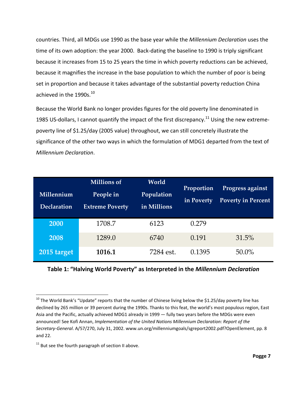countries. Third, all MDGs use 1990 as the base year while the *Millennium Declaration* uses the time of its own adoption: the year 2000. Back-dating the baseline to 1990 is triply significant because it increases from 15 to 25 years the time in which poverty reductions can be achieved, because it magnifies the increase in the base population to which the number of poor is being set in proportion and because it takes advantage of the substantial poverty reduction China achieved in the 1990s.<sup>10</sup>

Because the World Bank no longer provides figures for the old poverty line denominated in 1985 US-dollars, I cannot quantify the impact of the first discrepancy.<sup>11</sup> Using the new extremepoverty line of \$1.25/day (2005 value) throughout, we can still concretely illustrate the significance of the other two ways in which the formulation of MDG1 departed from the text of *Millennium Declaration*.

| Millennium<br><b>Declaration</b> | <b>Millions of</b><br>People in<br><b>Extreme Poverty</b> | World<br>Population<br>in Millions | Proportion<br>in Poverty | Progress against<br><b>Poverty in Percent</b> |
|----------------------------------|-----------------------------------------------------------|------------------------------------|--------------------------|-----------------------------------------------|
| 2000                             | 1708.7                                                    | 6123                               | 0.279                    |                                               |
| 2008                             | 1289.0                                                    | 6740                               | 0.191                    | 31.5%                                         |
| 2015 target                      | 1016.1                                                    | 7284 est.                          | 0.1395                   | $50.0\%$                                      |

**Table 1: "Halving World Poverty" as Interpreted in the** *Millennium Declaration* 

 $\overline{\phantom{a}}$ <sup>10</sup> The World Bank's "Update" reports that the number of Chinese living below the \$1.25/day poverty line has declined by 265 million or 39 percent during the 1990s. Thanks to this feat, the world's most populous region, East Asia and the Pacific, actually achieved MDG1 already in 1999 — fully two years before the MDGs were even announced! See Kofi Annan, *Implementation of the United Nations Millennium Declaration: Report of the Secretary-General*. A/57/270, July 31, 2002. www.un.org/millenniumgoals/sgreport2002.pdf?OpenElement, pp. 8 and 22.

 $11$  But see the fourth paragraph of section II above.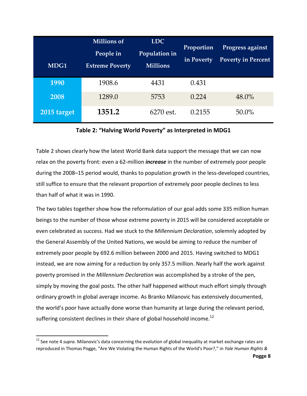|             | <b>Millions of</b>     | <b>LDC</b>      | Proportion | Progress against          |
|-------------|------------------------|-----------------|------------|---------------------------|
|             | People in              | Population in   |            | <b>Poverty in Percent</b> |
| MDG1        | <b>Extreme Poverty</b> | <b>Millions</b> | in Poverty |                           |
| 1990        | 1908.6                 | 4431            | 0.431      |                           |
| 2008        | 1289.0                 | 5753            | 0.224      | 48.0%                     |
| 2015 target | 1351.2                 | 6270 est.       | 0.2155     | $50.0\%$                  |

**Table 2: "Halving World Poverty" as Interpreted in MDG1**

Table 2 shows clearly how the latest World Bank data support the message that we can now relax on the poverty front: even a 62-million *increase* in the number of extremely poor people during the 2008–15 period would, thanks to population growth in the less-developed countries, still suffice to ensure that the relevant proportion of extremely poor people declines to less than half of what it was in 1990.

The two tables together show how the reformulation of our goal adds some 335 million human beings to the number of those whose extreme poverty in 2015 will be considered acceptable or even celebrated as success. Had we stuck to the *Millennium Declaration*, solemnly adopted by the General Assembly of the United Nations, we would be aiming to reduce the number of extremely poor people by 692.6 million between 2000 and 2015. Having switched to MDG1 instead, we are now aiming for a reduction by only 357.5 million. Nearly half the work against poverty promised in the *Millennium Declaration* was accomplished by a stroke of the pen, simply by moving the goal posts. The other half happened without much effort simply through ordinary growth in global average income. As Branko Milanovic has extensively documented, the world's poor have actually done worse than humanity at large during the relevant period, suffering consistent declines in their share of global household income.<sup>12</sup>

<sup>&</sup>lt;sup>12</sup> See note 4 *supra*. Milanovic's data concerning the evolution of global inequality at market exchange rates are reproduced in Thomas Pogge, "Are We Violating the Human Rights of the World's Poor?," in *Yale Human Rights &*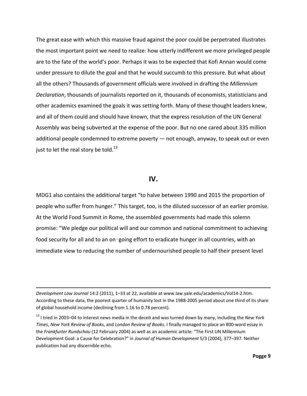The great ease with which this massive fraud against the poor could be perpetrated illustrates the most important point we need to realize: how utterly indifferent we more privileged people are to the fate of the world's poor. Perhaps it was to be expected that Kofi Annan would come under pressure to dilute the goal and that he would succumb to this pressure. But what about all the others? Thousands of government officials were involved in drafting the *Millennium Declaration*, thousands of journalists reported on it, thousands of economists, statisticians and other academics examined the goals it was setting forth. Many of these thought leaders knew, and all of them could and should have known, that the express resolution of the UN General Assembly was being subverted at the expense of the poor. But no one cared about 335 million additional people condemned to extreme poverty — not enough, anyway, to speak out or even just to let the real story be told.<sup>13</sup>

## **IV.**

MDG1 also contains the additional target "to halve between 1990 and 2015 the proportion of people who suffer from hunger." This target, too, is the diluted successor of an earlier promise. At the World Food Summit in Rome, the assembled governments had made this solemn promise: "We pledge our political will and our common and national commitment to achieving food security for all and to an on-going effort to eradicate hunger in all countries, with an immediate view to reducing the number of undernourished people to half their present level

l

*Development Law Journal* 14:2 (2011), 1–33 at 22, available at www.law.yale.edu/academics/Vol14-2.htm. According to these data, the poorest quarter of humanity lost in the 1988-2005 period about one third of its share of global household income (declining from 1.16 to 0.78 percent).

<sup>13</sup> I tried in 2003–04 to interest news media in the deceit and was turned down by many, including the *New York Times*, *New York Review of Books*, and *London Review of Books*. I finally managed to place an 800-word essay in the *Frankfurter Rundschau* (12 February 2004) as well as an academic article: "The First UN Millennium Development Goal: a Cause for Celebration?" in *Journal of Human Development* 5/3 (2004), 377–397. Neither publication had any discernible echo.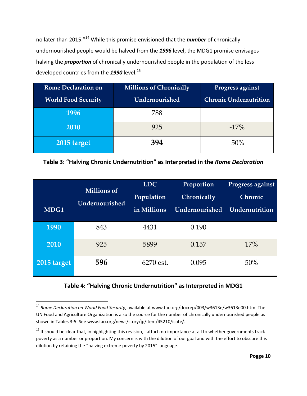no later than 2015." <sup>14</sup> While this promise envisioned that the *number* of chronically undernourished people would be halved from the *1996* level, the MDG1 promise envisages halving the *proportion* of chronically undernourished people in the population of the less developed countries from the **1990** level.<sup>15</sup>

| <b>Rome Declaration on</b> | <b>Millions of Chronically</b> | Progress against              |
|----------------------------|--------------------------------|-------------------------------|
| <b>World Food Security</b> | Undernourished                 | <b>Chronic Undernutrition</b> |
| 1996                       | 788                            |                               |
| 2010                       | 925                            | $-17%$                        |
| 2015 target                | 394                            | 50%                           |

## **Table 3: "Halving Chronic Undernutrition" as Interpreted in the** *Rome Declaration*

|             | <b>Millions of</b><br>Undernourished | <b>LDC</b>  | Proportion     | Progress against |
|-------------|--------------------------------------|-------------|----------------|------------------|
|             |                                      | Population  | Chronically    | Chronic          |
| MDG1        |                                      | in Millions | Undernourished | Undernutrition   |
| 1990        | 843                                  | 4431        | 0.190          |                  |
| 2010        | 925                                  | 5899        | 0.157          | 17%              |
| 2015 target | 596                                  | 6270 est.   | 0.095          | $50\%$           |

## **Table 4: "Halving Chronic Undernutrition" as Interpreted in MDG1**

 $\overline{a}$ <sup>14</sup> *Rome Declaration on World Food Security*, available at www.fao.org/docrep/003/w3613e/w3613e00.htm. The UN Food and Agriculture Organization is also the source for the number of chronically undernourished people as shown in Tables 3-5. See www.fao.org/news/story/jp/item/45210/icate/.

<sup>&</sup>lt;sup>15</sup> It should be clear that, in highlighting this revision, I attach no importance at all to whether governments track poverty as a number or proportion. My concern is with the dilution of our goal and with the effort to obscure this dilution by retaining the "halving extreme poverty by 2015" language.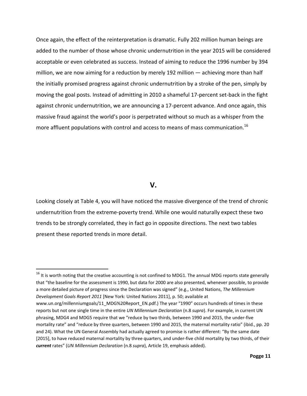Once again, the effect of the reinterpretation is dramatic. Fully 202 million human beings are added to the number of those whose chronic undernutrition in the year 2015 will be considered acceptable or even celebrated as success. Instead of aiming to reduce the 1996 number by 394 million, we are now aiming for a reduction by merely 192 million — achieving more than half the initially promised progress against chronic undernutrition by a stroke of the pen, simply by moving the goal posts. Instead of admitting in 2010 a shameful 17-percent set-back in the fight against chronic undernutrition, we are announcing a 17-percent advance. And once again, this massive fraud against the world's poor is perpetrated without so much as a whisper from the more affluent populations with control and access to means of mass communication.<sup>16</sup>

## **V.**

Looking closely at Table 4, you will have noticed the massive divergence of the trend of chronic undernutrition from the extreme-poverty trend. While one would naturally expect these two trends to be strongly correlated, they in fact go in opposite directions. The next two tables present these reported trends in more detail.

 $16$  It is worth noting that the creative accounting is not confined to MDG1. The annual MDG reports state generally that "the baseline for the assessment is 1990, but data for 2000 are also presented, whenever possible, to provide a more detailed picture of progress since the Declaration was signed" (e.g., United Nations, *The Millennium Development Goals Report 2011* [New York: United Nations 2011], p. 50; available at

www.un.org/millenniumgoals/11\_MDG%20Report\_EN.pdf.) The year "1990" occurs hundreds of times in these reports but not one single time in the entire *UN Millennium Declaration* (n.8 *supra*). For example, in current UN phrasing, MDG4 and MDG5 require that we "reduce by two thirds, between 1990 and 2015, the under-five mortality rate" and "reduce by three quarters, between 1990 and 2015, the maternal mortality ratio" (ibid., pp. 20 and 24). What the UN General Assembly had actually agreed to promise is rather different: "By the same date [2015], to have reduced maternal mortality by three quarters, and under-five child mortality by two thirds, of their *current* rates" (*UN Millennium Declaration* (n.8 *supra*), Article 19, emphasis added).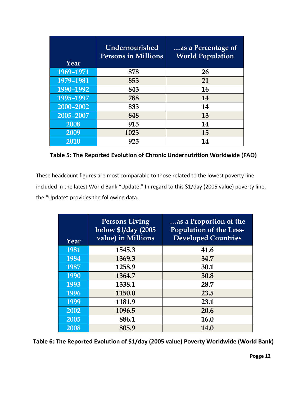| Year      | Undernourished<br><b>Persons in Millions</b> | as a Percentage of<br><b>World Population</b> |
|-----------|----------------------------------------------|-----------------------------------------------|
| 1969-1971 | 878                                          | 26                                            |
| 1979-1981 | 853                                          | 21                                            |
| 1990-1992 | 843                                          | <b>16</b>                                     |
| 1995-1997 | 788                                          | 14                                            |
| 2000-2002 | 833                                          | 14                                            |
| 2005-2007 | 848                                          | 13                                            |
| 2008      | 915                                          | 14                                            |
| 2009      | 1023                                         | 15                                            |
| 2010      | 925                                          | 14                                            |

**Table 5: The Reported Evolution of Chronic Undernutrition Worldwide (FAO)** 

These headcount figures are most comparable to those related to the lowest poverty line included in the latest World Bank "Update." In regard to this \$1/day (2005 value) poverty line, the "Update" provides the following data.

| Year | <b>Persons Living</b><br>below \$1/day (2005)<br>value) in Millions | as a Proportion of the<br><b>Population of the Less-</b><br><b>Developed Countries</b> |
|------|---------------------------------------------------------------------|----------------------------------------------------------------------------------------|
| 1981 | 1545.3                                                              | 41.6                                                                                   |
| 1984 | 1369.3                                                              | 34.7                                                                                   |
| 1987 | 1258.9                                                              | 30.1                                                                                   |
| 1990 | 1364.7                                                              | 30.8                                                                                   |
| 1993 | 1338.1                                                              | 28.7                                                                                   |
| 1996 | 1150.0                                                              | 23.5                                                                                   |
| 1999 | 1181.9                                                              | 23.1                                                                                   |
| 2002 | 1096.5                                                              | 20.6                                                                                   |
| 2005 | 886.1                                                               | <b>16.0</b>                                                                            |
| 2008 | 805.9                                                               | <b>14.0</b>                                                                            |

**Table 6: The Reported Evolution of \$1/day (2005 value) Poverty Worldwide (World Bank)**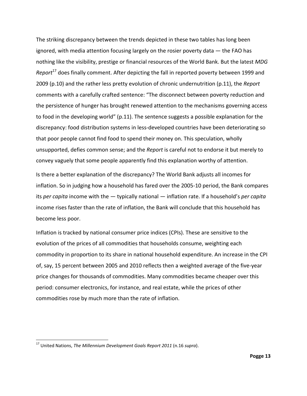The striking discrepancy between the trends depicted in these two tables has long been ignored, with media attention focusing largely on the rosier poverty data — the FAO has nothing like the visibility, prestige or financial resources of the World Bank. But the latest *MDG Report*<sup>17</sup> does finally comment. After depicting the fall in reported poverty between 1999 and 2009 (p.10) and the rather less pretty evolution of chronic undernutrition (p.11), the *Report* comments with a carefully crafted sentence: "The disconnect between poverty reduction and the persistence of hunger has brought renewed attention to the mechanisms governing access to food in the developing world" (p.11). The sentence suggests a possible explanation for the discrepancy: food distribution systems in less-developed countries have been deteriorating so that poor people cannot find food to spend their money on. This speculation, wholly unsupported, defies common sense; and the *Report* is careful not to endorse it but merely to convey vaguely that some people apparently find this explanation worthy of attention.

Is there a better explanation of the discrepancy? The World Bank adjusts all incomes for inflation. So in judging how a household has fared over the 2005-10 period, the Bank compares its *per capita* income with the — typically national — inflation rate. If a household's *per capita* income rises faster than the rate of inflation, the Bank will conclude that this household has become less poor.

Inflation is tracked by national consumer price indices (CPIs). These are sensitive to the evolution of the prices of all commodities that households consume, weighting each commodity in proportion to its share in national household expenditure. An increase in the CPI of, say, 15 percent between 2005 and 2010 reflects then a weighted average of the five-year price changes for thousands of commodities. Many commodities became cheaper over this period: consumer electronics, for instance, and real estate, while the prices of other commodities rose by much more than the rate of inflation.

<sup>17</sup> United Nations, *The Millennium Development Goals Report 2011* (n.16 *supra*).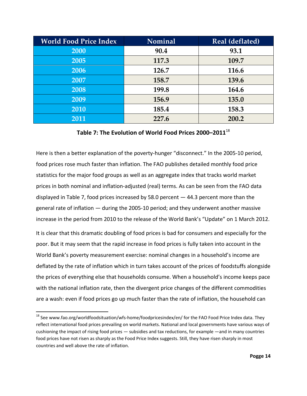| <b>World Food Price Index</b> | <b>Nominal</b> | Real (deflated) |
|-------------------------------|----------------|-----------------|
| 2000                          | 90.4           | 93.1            |
| 2005                          | 117.3          | 109.7           |
| 2006                          | 126.7          | 116.6           |
| 2007                          | 158.7          | 139.6           |
| 2008                          | 199.8          | 164.6           |
| 2009                          | 156.9          | 135.0           |
| 2010                          | 185.4          | 158.3           |
| 2011                          | 227.6          | 200.2           |

**Table 7: The Evolution of World Food Prices 2000–2011**<sup>18</sup>

Here is then a better explanation of the poverty-hunger "disconnect." In the 2005-10 period, food prices rose much faster than inflation. The FAO publishes detailed monthly food price statistics for the major food groups as well as an aggregate index that tracks world market prices in both nominal and inflation-adjusted (real) terms. As can be seen from the FAO data displayed in Table 7, food prices increased by 58.0 percent  $-44.3$  percent more than the general rate of inflation — during the 2005-10 period; and they underwent another massive increase in the period from 2010 to the release of the World Bank's "Update" on 1 March 2012.

It is clear that this dramatic doubling of food prices is bad for consumers and especially for the poor. But it may seem that the rapid increase in food prices is fully taken into account in the World Bank's poverty measurement exercise: nominal changes in a household's income are deflated by the rate of inflation which in turn takes account of the prices of foodstuffs alongside the prices of everything else that households consume. When a household's income keeps pace with the national inflation rate, then the divergent price changes of the different commodities are a wash: even if food prices go up much faster than the rate of inflation, the household can

<sup>&</sup>lt;sup>18</sup> See www.fao.org/worldfoodsituation/wfs-home/foodpricesindex/en/ for the FAO Food Price Index data. They reflect international food prices prevailing on world markets. National and local governments have various ways of cushioning the impact of rising food prices — subsidies and tax reductions, for example —and in many countries food prices have not risen as sharply as the Food Price Index suggests. Still, they have risen sharply in most countries and well above the rate of inflation.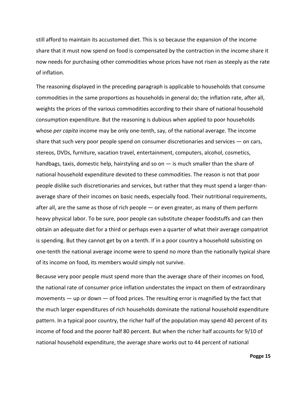still afford to maintain its accustomed diet. This is so because the expansion of the income share that it must now spend on food is compensated by the contraction in the income share it now needs for purchasing other commodities whose prices have not risen as steeply as the rate of inflation.

The reasoning displayed in the preceding paragraph is applicable to households that consume commodities in the same proportions as households in general do; the inflation rate, after all, weights the prices of the various commodities according to their share of national household consumption expenditure. But the reasoning is dubious when applied to poor households whose *per capita* income may be only one-tenth, say, of the national average. The income share that such very poor people spend on consumer discretionaries and services — on cars, stereos, DVDs, furniture, vacation travel, entertainment, computers, alcohol, cosmetics, handbags, taxis, domestic help, hairstyling and so on — is much smaller than the share of national household expenditure devoted to these commodities. The reason is not that poor people dislike such discretionaries and services, but rather that they must spend a larger-thanaverage share of their incomes on basic needs, especially food. Their nutritional requirements, after all, are the same as those of rich people — or even greater, as many of them perform heavy physical labor. To be sure, poor people can substitute cheaper foodstuffs and can then obtain an adequate diet for a third or perhaps even a quarter of what their average compatriot is spending. But they cannot get by on a tenth. If in a poor country a household subsisting on one-tenth the national average income were to spend no more than the nationally typical share of its income on food, its members would simply not survive.

Because very poor people must spend more than the average share of their incomes on food, the national rate of consumer price inflation understates the impact on them of extraordinary movements  $-$  up or down  $-$  of food prices. The resulting error is magnified by the fact that the much larger expenditures of rich households dominate the national household expenditure pattern. In a typical poor country, the richer half of the population may spend 40 percent of its income of food and the poorer half 80 percent. But when the richer half accounts for 9/10 of national household expenditure, the average share works out to 44 percent of national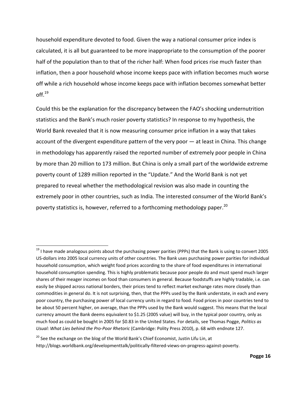household expenditure devoted to food. Given the way a national consumer price index is calculated, it is all but guaranteed to be more inappropriate to the consumption of the poorer half of the population than to that of the richer half: When food prices rise much faster than inflation, then a poor household whose income keeps pace with inflation becomes much worse off while a rich household whose income keeps pace with inflation becomes somewhat better  $off.<sup>19</sup>$ 

Could this be the explanation for the discrepancy between the FAO's shocking undernutrition statistics and the Bank's much rosier poverty statistics? In response to my hypothesis, the World Bank revealed that it is now measuring consumer price inflation in a way that takes account of the divergent expenditure pattern of the very poor — at least in China. This change in methodology has apparently raised the reported number of extremely poor people in China by more than 20 million to 173 million. But China is only a small part of the worldwide extreme poverty count of 1289 million reported in the "Update." And the World Bank is not yet prepared to reveal whether the methodological revision was also made in counting the extremely poor in other countries, such as India. The interested consumer of the World Bank's poverty statistics is, however, referred to a forthcoming methodology paper.<sup>20</sup>

<sup>&</sup>lt;sup>19</sup> I have made analogous points about the purchasing power parities (PPPs) that the Bank is using to convert 2005 US-dollars into 2005 local currency units of other countries. The Bank uses purchasing power parities for individual household consumption, which weight food prices according to the share of food expenditures in international household consumption spending. This is highly problematic because poor people do and must spend much larger shares of their meager incomes on food than consumers in general. Because foodstuffs are highly tradable, i.e. can easily be shipped across national borders, their prices tend to reflect market exchange rates more closely than commodities in general do. It is not surprising, then, that the PPPs used by the Bank understate, in each and every poor country, the purchasing power of local currency units in regard to food. Food prices in poor countries tend to be about 50 percent higher, on average, than the PPPs used by the Bank would suggest. This means that the local currency amount the Bank deems equivalent to \$1.25 (2005 value) will buy, in the typical poor country, only as much food as could be bought in 2005 for \$0.83 in the United States. For details, see Thomas Pogge, *Politics as Usual: What Lies behind the Pro-Poor Rhetoric* (Cambridge: Polity Press 2010), p. 68 with endnote 127.

 $20$  See the exchange on the blog of the World Bank's Chief Economist, Justin Lifu Lin, at http://blogs.worldbank.org/developmenttalk/politically-filtered-views-on-progress-against-poverty.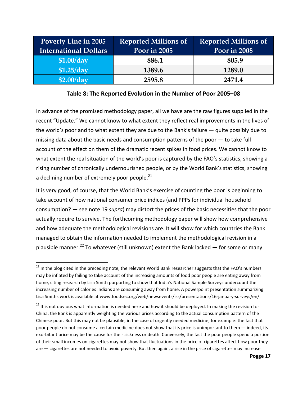| Poverty Line in 2005         | <b>Reported Millions of</b> | <b>Reported Millions of</b> |
|------------------------------|-----------------------------|-----------------------------|
| <b>International Dollars</b> | Poor in 2005                | Poor in 2008                |
| \$1.00/day                   | 886.1                       | 805.9                       |
| \$1.25/day                   | 1389.6                      | 1289.0                      |
| \$2.00/day                   | 2595.8                      | 2471.4                      |

## **Table 8: The Reported Evolution in the Number of Poor 2005–08**

In advance of the promised methodology paper, all we have are the raw figures supplied in the recent "Update." We cannot know to what extent they reflect real improvements in the lives of the world's poor and to what extent they are due to the Bank's failure — quite possibly due to missing data about the basic needs and consumption patterns of the poor — to take full account of the effect on them of the dramatic recent spikes in food prices. We cannot know to what extent the real situation of the world's poor is captured by the FAO's statistics, showing a rising number of chronically undernourished people, or by the World Bank's statistics, showing a declining number of extremely poor people. $^{21}$ 

It is very good, of course, that the World Bank's exercise of counting the poor is beginning to take account of how national consumer price indices (and PPPs for individual household consumption? — see note 19 *supra*) may distort the prices of the basic necessities that the poor actually require to survive. The forthcoming methodology paper will show how comprehensive and how adequate the methodological revisions are. It will show for which countries the Bank managed to obtain the information needed to implement the methodological revision in a plausible manner.<sup>22</sup> To whatever (still unknown) extent the Bank lacked  $-$  for some or many

<sup>&</sup>lt;sup>21</sup> In the blog cited in the preceding note, the relevant World Bank researcher suggests that the FAO's numbers may be inflated by failing to take account of the increasing amounts of food poor people are eating away from home, citing research by Lisa Smith purporting to show that India's National Sample Surveys undercount the increasing number of calories Indians are consuming away from home. A powerpoint presentation summarizing Lisa Smiths work is available at www.foodsec.org/web/newsevents/iss/presentations/16-january-surveys/en/.

<sup>&</sup>lt;sup>22</sup> It is not obvious what information is needed here and how it should be deployed. In making the revision for China, the Bank is apparently weighting the various prices according to the actual consumption pattern of the Chinese poor. But this may not be plausible, in the case of urgently needed medicine, for example: the fact that poor people do not consume a certain medicine does not show that its price is unimportant to them — indeed, its exorbitant price may be the cause for their sickness or death. Conversely, the fact the poor people spend a portion of their small incomes on cigarettes may not show that fluctuations in the price of cigarettes affect how poor they are — cigarettes are not needed to avoid poverty. But then again, a rise in the price of cigarettes may increase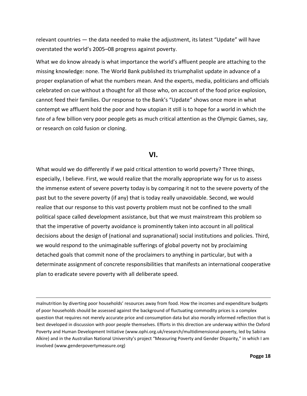relevant countries — the data needed to make the adjustment, its latest "Update" will have overstated the world's 2005–08 progress against poverty.

What we do know already is what importance the world's affluent people are attaching to the missing knowledge: none. The World Bank published its triumphalist update in advance of a proper explanation of what the numbers mean. And the experts, media, politicians and officials celebrated on cue without a thought for all those who, on account of the food price explosion, cannot feed their families. Our response to the Bank's "Update" shows once more in what contempt we affluent hold the poor and how utopian it still is to hope for a world in which the fate of a few billion very poor people gets as much critical attention as the Olympic Games, say, or research on cold fusion or cloning.

## **VI.**

What would we do differently if we paid critical attention to world poverty? Three things, especially, I believe. First, we would realize that the morally appropriate way for us to assess the immense extent of severe poverty today is by comparing it not to the severe poverty of the past but to the severe poverty (if any) that is today really unavoidable. Second, we would realize that our response to this vast poverty problem must not be confined to the small political space called development assistance, but that we must mainstream this problem so that the imperative of poverty avoidance is prominently taken into account in all political decisions about the design of (national and supranational) social institutions and policies. Third, we would respond to the unimaginable sufferings of global poverty not by proclaiming detached goals that commit none of the proclaimers to anything in particular, but with a determinate assignment of concrete responsibilities that manifests an international cooperative plan to eradicate severe poverty with all deliberate speed.

malnutrition by diverting poor households' resources away from food. How the incomes and expenditure budgets of poor households should be assessed against the background of fluctuating commodity prices is a complex question that requires not merely accurate price and consumption data but also morally informed reflection that is best developed in discussion with poor people themselves. Efforts in this direction are underway within the Oxford Poverty and Human Development Initiative (www.ophi.org.uk/research/multidimensional-poverty, led by Sabina Alkire) and in the Australian National University's project "Measuring Poverty and Gender Disparity," in which I am involved (www.genderpovertymeasure.org)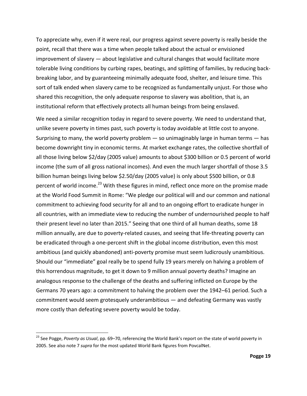To appreciate why, even if it were real, our progress against severe poverty is really beside the point, recall that there was a time when people talked about the actual or envisioned improvement of slavery — about legislative and cultural changes that would facilitate more tolerable living conditions by curbing rapes, beatings, and splitting of families, by reducing backbreaking labor, and by guaranteeing minimally adequate food, shelter, and leisure time. This sort of talk ended when slavery came to be recognized as fundamentally unjust. For those who shared this recognition, the only adequate response to slavery was abolition, that is, an institutional reform that effectively protects all human beings from being enslaved.

We need a similar recognition today in regard to severe poverty. We need to understand that, unlike severe poverty in times past, such poverty is today avoidable at little cost to anyone. Surprising to many, the world poverty problem  $-$  so unimaginably large in human terms  $-$  has become downright tiny in economic terms. At market exchange rates, the collective shortfall of all those living below \$2/day (2005 value) amounts to about \$300 billion or 0.5 percent of world income (the sum of all gross national incomes). And even the much larger shortfall of those 3.5 billion human beings living below \$2.50/day (2005 value) is only about \$500 billion, or 0.8 percent of world income.<sup>23</sup> With these figures in mind, reflect once more on the promise made at the World Food Summit in Rome: "We pledge our political will and our common and national commitment to achieving food security for all and to an ongoing effort to eradicate hunger in all countries, with an immediate view to reducing the number of undernourished people to half their present level no later than 2015." Seeing that one third of all human deaths, some 18 million annually, are due to poverty-related causes, and seeing that life-threating poverty can be eradicated through a one-percent shift in the global income distribution, even this most ambitious (and quickly abandoned) anti-poverty promise must seem ludicrously unambitious. Should our "immediate" goal really be to spend fully 19 years merely on halving a problem of this horrendous magnitude, to get it down to 9 million annual poverty deaths? Imagine an analogous response to the challenge of the deaths and suffering inflicted on Europe by the Germans 70 years ago: a commitment to halving the problem over the 1942–61 period. Such a commitment would seem grotesquely underambitious — and defeating Germany was vastly more costly than defeating severe poverty would be today.

<sup>23</sup> See Pogge, *Poverty as Usual*, pp. 69–70, referencing the World Bank's report on the state of world poverty in 2005. See also note 7 *supra* for the most updated World Bank figures from PovcalNet.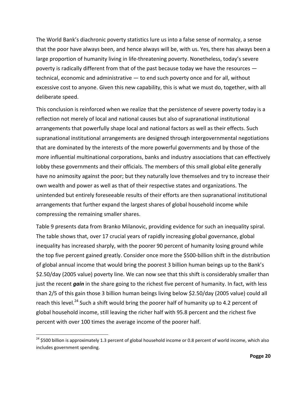The World Bank's diachronic poverty statistics lure us into a false sense of normalcy, a sense that the poor have always been, and hence always will be, with us. Yes, there has always been a large proportion of humanity living in life-threatening poverty. Nonetheless, today's severe poverty is radically different from that of the past because today we have the resources technical, economic and administrative — to end such poverty once and for all, without excessive cost to anyone. Given this new capability, this is what we must do, together, with all deliberate speed.

This conclusion is reinforced when we realize that the persistence of severe poverty today is a reflection not merely of local and national causes but also of supranational institutional arrangements that powerfully shape local and national factors as well as their effects. Such supranational institutional arrangements are designed through intergovernmental negotiations that are dominated by the interests of the more powerful governments and by those of the more influential multinational corporations, banks and industry associations that can effectively lobby these governments and their officials. The members of this small global elite generally have no animosity against the poor; but they naturally love themselves and try to increase their own wealth and power as well as that of their respective states and organizations. The unintended but entirely foreseeable results of their efforts are then supranational institutional arrangements that further expand the largest shares of global household income while compressing the remaining smaller shares.

Table 9 presents data from Branko Milanovic, providing evidence for such an inequality spiral. The table shows that, over 17 crucial years of rapidly increasing global governance, global inequality has increased sharply, with the poorer 90 percent of humanity losing ground while the top five percent gained greatly. Consider once more the \$500-billion shift in the distribution of global annual income that would bring the poorest 3 billion human beings up to the Bank's \$2.50/day (2005 value) poverty line. We can now see that this shift is considerably smaller than just the recent *gain* in the share going to the richest five percent of humanity. In fact, with less than 2/5 of this gain those 3 billion human beings living below \$2.50/day (2005 value) could all reach this level.<sup>24</sup> Such a shift would bring the poorer half of humanity up to 4.2 percent of global household income, still leaving the richer half with 95.8 percent and the richest five percent with over 100 times the average income of the poorer half.

<sup>&</sup>lt;sup>24</sup> \$500 billion is approximately 1.3 percent of global household income or 0.8 percent of world income, which also includes government spending.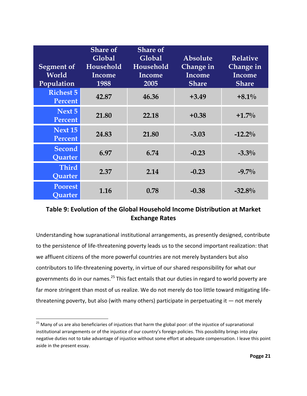| <b>Segment of</b><br>World<br>Population | <b>Share of</b><br>Global<br>Household<br>Income<br>1988 | <b>Share of</b><br>Global<br>Household<br>Income<br>2005 | <b>Absolute</b><br>Change in<br><b>Income</b><br><b>Share</b> | <b>Relative</b><br>Change in<br><b>Income</b><br><b>Share</b> |
|------------------------------------------|----------------------------------------------------------|----------------------------------------------------------|---------------------------------------------------------------|---------------------------------------------------------------|
| <b>Richest 5</b><br><b>Percent</b>       | 42.87                                                    | 46.36                                                    | $+3.49$                                                       | $+8.1\%$                                                      |
| Next 5<br>Percent                        | 21.80                                                    | 22.18                                                    | $+0.38$                                                       | $+1.7\%$                                                      |
| Next 15<br>Percent                       | 24.83                                                    | 21.80                                                    | $-3.03$                                                       | $-12.2\%$                                                     |
| <b>Second</b><br>Quarter                 | 6.97                                                     | 6.74                                                     | $-0.23$                                                       | $-3.3\%$                                                      |
| <b>Third</b><br><b>Ouarter</b>           | 2.37                                                     | 2.14                                                     | $-0.23$                                                       | $-9.7\%$                                                      |
| <b>Poorest</b><br><b>Ouarter</b>         | 1.16                                                     | 0.78                                                     | $-0.38$                                                       | $-32.8\%$                                                     |

## **Table 9: Evolution of the Global Household Income Distribution at Market Exchange Rates**

Understanding how supranational institutional arrangements, as presently designed, contribute to the persistence of life-threatening poverty leads us to the second important realization: that we affluent citizens of the more powerful countries are not merely bystanders but also contributors to life-threatening poverty, in virtue of our shared responsibility for what our governments do in our names.<sup>25</sup> This fact entails that our duties in regard to world poverty are far more stringent than most of us realize. We do not merely do too little toward mitigating lifethreatening poverty, but also (with many others) participate in perpetuating it  $-$  not merely

<sup>&</sup>lt;sup>25</sup> Many of us are also beneficiaries of injustices that harm the global poor: of the injustice of supranational institutional arrangements or of the injustice of our country's foreign policies. This possibility brings into play negative duties not to take advantage of injustice without some effort at adequate compensation. I leave this point aside in the present essay.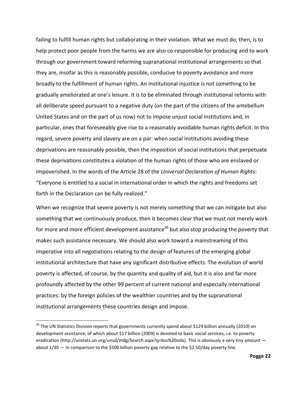failing to fulfill human rights but collaborating in their violation. What we must do, then, is to help protect poor people from the harms we are also co-responsible for producing and to work through our government toward reforming supranational institutional arrangements so that they are, insofar as this is reasonably possible, conducive to poverty avoidance and more broadly to the fulfillment of human rights. An institutional injustice is not something to be gradually ameliorated at one's leisure. It is to be eliminated through institutional reforms with all deliberate speed pursuant to a negative duty (on the part of the citizens of the antebellum United States and on the part of us now) not to impose unjust social institutions and, in particular, ones that foreseeably give rise to a reasonably avoidable human rights deficit. In this regard, severe poverty and slavery are on a par: when social institutions avoiding these deprivations are reasonably possible, then the imposition of social institutions that perpetuate these deprivations constitutes a violation of the human rights of those who are enslaved or impoverished. In the words of the Article 28 of the *Universal Declaration of Human Rights*: "Everyone is entitled to a social in international order in which the rights and freedoms set forth in the Declaration can be fully realized."

When we recognize that severe poverty is not merely something that we can mitigate but also something that we continuously produce, then it becomes clear that we must not merely work for more and more efficient development assistance<sup>26</sup> but also stop producing the poverty that makes such assistance necessary. We should also work toward a mainstreaming of this imperative into all negotiations relating to the design of features of the emerging global institutional architecture that have any significant distributive effects. The evolution of world poverty is affected, of course, by the quantity and quality of aid, but it is also and far more profoundly affected by the other 99 percent of current national and especially international practices: by the foreign policies of the wealthier countries and by the supranational institutional arrangements these countries design and impose.

 $\overline{a}$ 

<sup>&</sup>lt;sup>26</sup> The UN Statistics Division reports that governments currently spend about \$129 billion annually (2010) on development assistance, of which about \$17 billion (2009) is devoted to basic social services, i.e. to poverty eradication (http://unstats.un.org/unsd/mdg/Search.aspx?q=bss%20oda). This is obviously a very tiny amount about 1/30 — in comparison to the \$500 billion poverty gap relative to the \$2.50/day poverty line.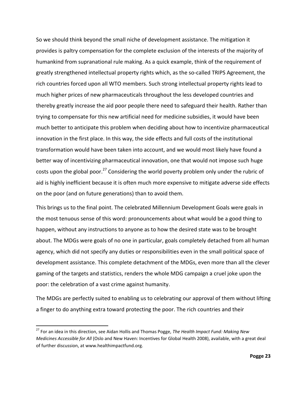So we should think beyond the small niche of development assistance. The mitigation it provides is paltry compensation for the complete exclusion of the interests of the majority of humankind from supranational rule making. As a quick example, think of the requirement of greatly strengthened intellectual property rights which, as the so-called TRIPS Agreement, the rich countries forced upon all WTO members. Such strong intellectual property rights lead to much higher prices of new pharmaceuticals throughout the less developed countries and thereby greatly increase the aid poor people there need to safeguard their health. Rather than trying to compensate for this new artificial need for medicine subsidies, it would have been much better to anticipate this problem when deciding about how to incentivize pharmaceutical innovation in the first place. In this way, the side effects and full costs of the institutional transformation would have been taken into account, and we would most likely have found a better way of incentivizing pharmaceutical innovation, one that would not impose such huge costs upon the global poor.<sup>27</sup> Considering the world poverty problem only under the rubric of aid is highly inefficient because it is often much more expensive to mitigate adverse side effects on the poor (and on future generations) than to avoid them.

This brings us to the final point. The celebrated Millennium Development Goals were goals in the most tenuous sense of this word: pronouncements about what would be a good thing to happen, without any instructions to anyone as to how the desired state was to be brought about. The MDGs were goals of no one in particular, goals completely detached from all human agency, which did not specify any duties or responsibilities even in the small political space of development assistance. This complete detachment of the MDGs, even more than all the clever gaming of the targets and statistics, renders the whole MDG campaign a cruel joke upon the poor: the celebration of a vast crime against humanity.

The MDGs are perfectly suited to enabling us to celebrating our approval of them without lifting a finger to do anything extra toward protecting the poor. The rich countries and their

<sup>27</sup> For an idea in this direction, see Aidan Hollis and Thomas Pogge, *The Health Impact Fund: Making New Medicines Accessible for All* (Oslo and New Haven: Incentives for Global Health 2008), available, with a great deal of further discussion, at www.healthimpactfund.org.